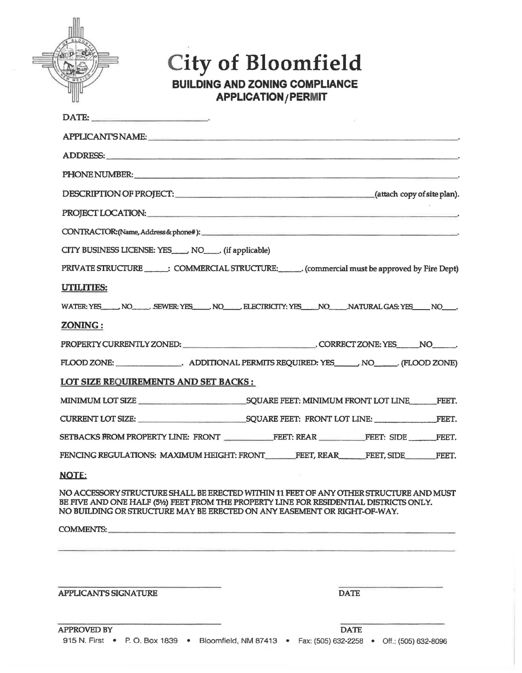## **City of Bloomfield**

**BUILDING AND ZONING COMPLIANCE APPLICATION /PERMIT** 

| $\blacksquare$                                                           |                                                                                                                                                                                                                                |
|--------------------------------------------------------------------------|--------------------------------------------------------------------------------------------------------------------------------------------------------------------------------------------------------------------------------|
|                                                                          | APPLICANT'S NAME: A PPLICANT'S NAME:                                                                                                                                                                                           |
|                                                                          | ADDRESS:                                                                                                                                                                                                                       |
|                                                                          | PHONE NUMBER: WE ARE A RESIDENCE ON A RESIDENCE OF A RESIDENCE OF A RESIDENCE OF A RESIDENCE OF A RESIDENCE OF                                                                                                                 |
|                                                                          | DESCRIPTION OF PROJECT: (attach copy of site plan).                                                                                                                                                                            |
|                                                                          | PROJECT LOCATION: University of the contract of the contract of the contract of the contract of the contract of the contract of the contract of the contract of the contract of the contract of the contract of the contract o |
|                                                                          | CONTRACTOR: (Name, Address & phone#):                                                                                                                                                                                          |
| CITY BUSINESS LICENSE: YES____, NO_____, (if applicable)                 |                                                                                                                                                                                                                                |
|                                                                          | PRIVATE STRUCTURE _______: COMMERCIAL STRUCTURE: _______ (commercial must be approved by Fire Dept)                                                                                                                            |
| <b>UTILITIES:</b>                                                        |                                                                                                                                                                                                                                |
|                                                                          | WATER: YES NO SEWER: YES NO ELECTRICITY: YES NO NATURAL GAS: YES NO                                                                                                                                                            |
| <b>ZONING:</b>                                                           |                                                                                                                                                                                                                                |
|                                                                          | PROPERTY CURRENTLY ZONED: CORRECT ZONE: YES NO                                                                                                                                                                                 |
|                                                                          |                                                                                                                                                                                                                                |
| <b>LOT SIZE REQUIREMENTS AND SET BACKS:</b>                              |                                                                                                                                                                                                                                |
|                                                                          |                                                                                                                                                                                                                                |
|                                                                          |                                                                                                                                                                                                                                |
|                                                                          | SETBACKS FROM PROPERTY LINE: FRONT FEET: REAR FEET: SIDE FEET.                                                                                                                                                                 |
|                                                                          | FENCING REGULATIONS: MAXIMUM HEIGHT: FRONT FEET, REAR FEET, SIDE FEET.                                                                                                                                                         |
| <b>NOTE:</b>                                                             |                                                                                                                                                                                                                                |
| NO BUILDING OR STRUCTURE MAY BE ERECTED ON ANY EASEMENT OR RIGHT-OF-WAY. | NO ACCESSORY STRUCTURE SHALL BE ERECTED WITHIN 11 FEET OF ANY OTHER STRUCTURE AND MUST<br>BE FIVE AND ONE HALF (5½) FEET FROM THE PROPERTY LINE FOR RESIDENTIAL DISTRICTS ONLY.                                                |
| COMMENTS: New York COMMENTS:                                             |                                                                                                                                                                                                                                |
|                                                                          |                                                                                                                                                                                                                                |
|                                                                          |                                                                                                                                                                                                                                |
| <b>APPLICANT'S SIGNATURE</b>                                             | <b>DATE</b>                                                                                                                                                                                                                    |
|                                                                          |                                                                                                                                                                                                                                |
| $\lambda$ DDD $\bigcap$ $\overline{D}$ DY                                |                                                                                                                                                                                                                                |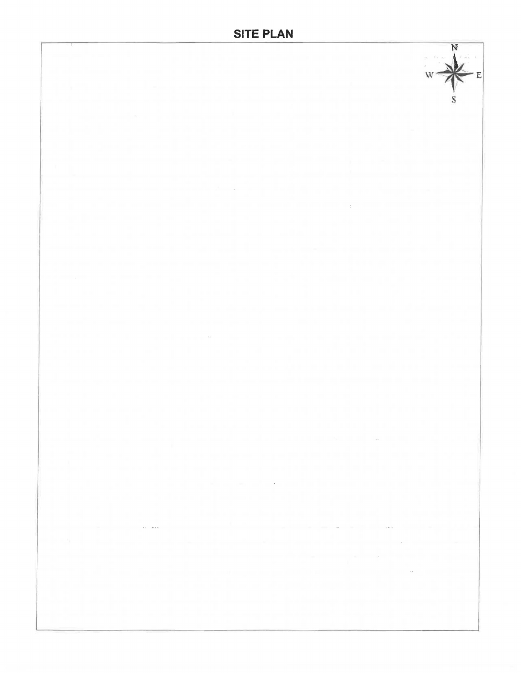